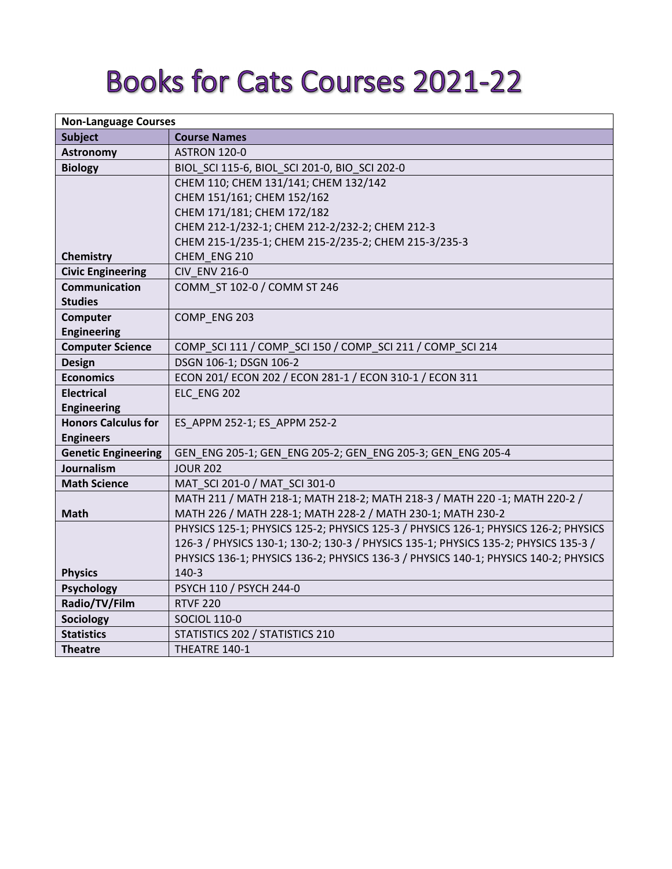## **Books for Cats Courses 2021-22**

| <b>Non-Language Courses</b> |                                                                                     |
|-----------------------------|-------------------------------------------------------------------------------------|
| <b>Subject</b>              | <b>Course Names</b>                                                                 |
| <b>Astronomy</b>            | ASTRON 120-0                                                                        |
| <b>Biology</b>              | BIOL_SCI 115-6, BIOL_SCI 201-0, BIO_SCI 202-0                                       |
|                             | CHEM 110; CHEM 131/141; CHEM 132/142                                                |
|                             | CHEM 151/161; CHEM 152/162                                                          |
|                             | CHEM 171/181; CHEM 172/182                                                          |
|                             | CHEM 212-1/232-1; CHEM 212-2/232-2; CHEM 212-3                                      |
|                             | CHEM 215-1/235-1; CHEM 215-2/235-2; CHEM 215-3/235-3                                |
| <b>Chemistry</b>            | CHEM ENG 210                                                                        |
| <b>Civic Engineering</b>    | <b>CIV ENV 216-0</b>                                                                |
| <b>Communication</b>        | COMM ST 102-0 / COMM ST 246                                                         |
| <b>Studies</b>              |                                                                                     |
| Computer                    | COMP ENG 203                                                                        |
| <b>Engineering</b>          |                                                                                     |
| <b>Computer Science</b>     | COMP_SCI 111 / COMP_SCI 150 / COMP_SCI 211 / COMP_SCI 214                           |
| Design                      | DSGN 106-1; DSGN 106-2                                                              |
| <b>Economics</b>            | ECON 201/ ECON 202 / ECON 281-1 / ECON 310-1 / ECON 311                             |
| <b>Electrical</b>           | ELC ENG 202                                                                         |
| <b>Engineering</b>          |                                                                                     |
| <b>Honors Calculus for</b>  | ES APPM 252-1; ES APPM 252-2                                                        |
| <b>Engineers</b>            |                                                                                     |
| <b>Genetic Engineering</b>  | GEN_ENG 205-1; GEN_ENG 205-2; GEN_ENG 205-3; GEN_ENG 205-4                          |
| Journalism                  | <b>JOUR 202</b>                                                                     |
| <b>Math Science</b>         | MAT SCI 201-0 / MAT SCI 301-0                                                       |
|                             | MATH 211 / MATH 218-1; MATH 218-2; MATH 218-3 / MATH 220 -1; MATH 220-2 /           |
| <b>Math</b>                 | MATH 226 / MATH 228-1; MATH 228-2 / MATH 230-1; MATH 230-2                          |
|                             | PHYSICS 125-1; PHYSICS 125-2; PHYSICS 125-3 / PHYSICS 126-1; PHYSICS 126-2; PHYSICS |
|                             | 126-3 / PHYSICS 130-1; 130-2; 130-3 / PHYSICS 135-1; PHYSICS 135-2; PHYSICS 135-3 / |
|                             | PHYSICS 136-1; PHYSICS 136-2; PHYSICS 136-3 / PHYSICS 140-1; PHYSICS 140-2; PHYSICS |
| <b>Physics</b>              | $140-3$                                                                             |
| <b>Psychology</b>           | PSYCH 110 / PSYCH 244-0                                                             |
| Radio/TV/Film               | <b>RTVF 220</b>                                                                     |
| Sociology                   | <b>SOCIOL 110-0</b>                                                                 |
| <b>Statistics</b>           | STATISTICS 202 / STATISTICS 210                                                     |
| <b>Theatre</b>              | THEATRE 140-1                                                                       |